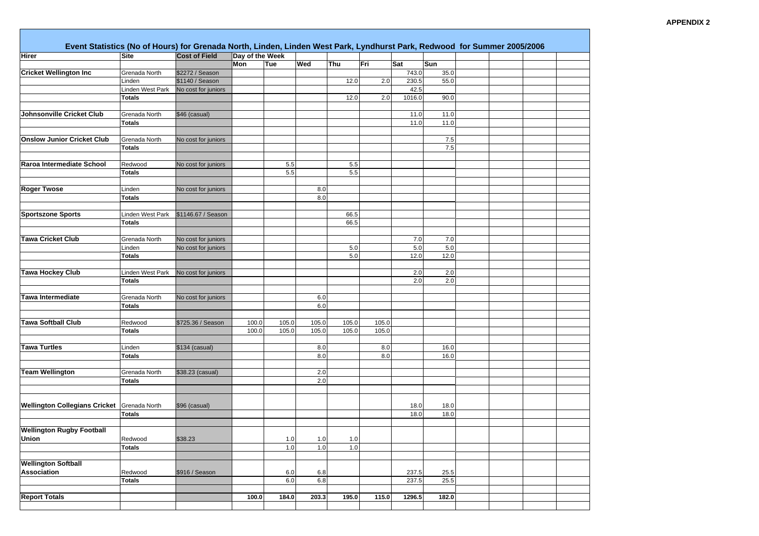| Hirer                                | <b>Site</b>      | <b>Cost of Field</b> | Day of the Week |       |         |       |       |         |         |  |  |
|--------------------------------------|------------------|----------------------|-----------------|-------|---------|-------|-------|---------|---------|--|--|
|                                      |                  |                      | Mon             | Tue   | Wed     | Thu   | Fri   | Sat     | Sun     |  |  |
| <b>Cricket Wellington Inc</b>        | Grenada North    | \$2272 / Season      |                 |       |         |       |       | 743.0   | 35.0    |  |  |
|                                      | Linden           | \$1140 / Season      |                 |       |         | 12.0  | 2.0   | 230.5   | 55.0    |  |  |
|                                      | Linden West Park | No cost for juniors  |                 |       |         |       |       | 42.5    |         |  |  |
|                                      | <b>Totals</b>    |                      |                 |       |         | 12.0  | 2.0   | 1016.0  | 90.0    |  |  |
|                                      |                  |                      |                 |       |         |       |       |         |         |  |  |
| Johnsonville Cricket Club            | Grenada North    | \$46 (casual)        |                 |       |         |       |       | 11.0    | 11.0    |  |  |
|                                      | Totals           |                      |                 |       |         |       |       | 11.0    | 11.0    |  |  |
|                                      |                  |                      |                 |       |         |       |       |         |         |  |  |
| <b>Onslow Junior Cricket Club</b>    | Grenada North    | No cost for juniors  |                 |       |         |       |       |         | $7.5$   |  |  |
|                                      | <b>Totals</b>    |                      |                 |       |         |       |       |         | 7.5     |  |  |
|                                      |                  |                      |                 |       |         |       |       |         |         |  |  |
| Raroa Intermediate School            | Redwood          | No cost for juniors  |                 | 5.5   |         | 5.5   |       |         |         |  |  |
|                                      | <b>Totals</b>    |                      |                 | 5.5   |         | 5.5   |       |         |         |  |  |
|                                      |                  |                      |                 |       |         |       |       |         |         |  |  |
| <b>Roger Twose</b>                   | Linden           | No cost for juniors  |                 |       | 8.0     |       |       |         |         |  |  |
|                                      | <b>Totals</b>    |                      |                 |       | 8.0     |       |       |         |         |  |  |
|                                      |                  |                      |                 |       |         |       |       |         |         |  |  |
| <b>Sportszone Sports</b>             | Linden West Park | \$1146.67 / Season   |                 |       |         | 66.5  |       |         |         |  |  |
|                                      | <b>Totals</b>    |                      |                 |       |         | 66.5  |       |         |         |  |  |
|                                      |                  |                      |                 |       |         |       |       |         |         |  |  |
| <b>Tawa Cricket Club</b>             | Grenada North    | No cost for juniors  |                 |       |         |       |       | 7.0     | 7.0     |  |  |
|                                      | Linden           | No cost for juniors  |                 |       |         | 5.0   |       | $5.0\,$ | $5.0\,$ |  |  |
|                                      | <b>Totals</b>    |                      |                 |       |         | 5.0   |       | 12.0    | 12.0    |  |  |
|                                      |                  |                      |                 |       |         |       |       |         |         |  |  |
| <b>Tawa Hockey Club</b>              | Linden West Park | No cost for juniors  |                 |       |         |       |       | 2.0     | 2.0     |  |  |
|                                      | <b>Totals</b>    |                      |                 |       |         |       |       | 2.0     | 2.0     |  |  |
|                                      |                  |                      |                 |       |         |       |       |         |         |  |  |
| <b>Tawa Intermediate</b>             | Grenada North    | No cost for juniors  |                 |       | $6.0\,$ |       |       |         |         |  |  |
|                                      | Totals           |                      |                 |       | 6.0     |       |       |         |         |  |  |
|                                      |                  |                      |                 |       |         |       |       |         |         |  |  |
| <b>Tawa Softball Club</b>            | Redwood          | \$725.36 / Season    | 100.0           | 105.0 | 105.0   | 105.0 | 105.0 |         |         |  |  |
|                                      | <b>Totals</b>    |                      | 100.0           | 105.0 | 105.0   | 105.0 | 105.0 |         |         |  |  |
|                                      |                  |                      |                 |       |         |       |       |         |         |  |  |
| <b>Tawa Turtles</b>                  | Linden           | \$134 (casual)       |                 |       | 8.0     |       | 8.0   |         | 16.0    |  |  |
|                                      | <b>Totals</b>    |                      |                 |       | 8.0     |       | 8.0   |         | 16.0    |  |  |
|                                      |                  |                      |                 |       |         |       |       |         |         |  |  |
| <b>Team Wellington</b>               | Grenada North    | \$38.23 (casual)     |                 |       | 2.0     |       |       |         |         |  |  |
|                                      | <b>Totals</b>    |                      |                 |       | 2.0     |       |       |         |         |  |  |
|                                      |                  |                      |                 |       |         |       |       |         |         |  |  |
|                                      |                  |                      |                 |       |         |       |       |         |         |  |  |
| <b>Wellington Collegians Cricket</b> | Grenada North    | \$96 (casual)        |                 |       |         |       |       | 18.0    | 18.0    |  |  |
|                                      | <b>Totals</b>    |                      |                 |       |         |       |       | 18.0    | 18.0    |  |  |
|                                      |                  |                      |                 |       |         |       |       |         |         |  |  |
| <b>Wellington Rugby Football</b>     |                  |                      |                 |       |         |       |       |         |         |  |  |
| <b>Union</b>                         | Redwood          | \$38.23              |                 | 1.0   | 1.0     | 1.0   |       |         |         |  |  |
|                                      | <b>Totals</b>    |                      |                 | 1.0   | $1.0$   | 1.0   |       |         |         |  |  |
|                                      |                  |                      |                 |       |         |       |       |         |         |  |  |
| <b>Wellington Softball</b>           |                  |                      |                 |       |         |       |       |         |         |  |  |
| Association                          | Redwood          | \$916 / Season       |                 | 6.0   | 6.8     |       |       | 237.5   | 25.5    |  |  |
|                                      | <b>Totals</b>    |                      |                 | 6.0   | 6.8     |       |       | 237.5   | 25.5    |  |  |
|                                      |                  |                      |                 |       |         |       |       |         |         |  |  |
| <b>Report Totals</b>                 |                  |                      | 100.0           | 184.0 | 203.3   | 195.0 | 115.0 | 1296.5  | 182.0   |  |  |
|                                      |                  |                      |                 |       |         |       |       |         |         |  |  |